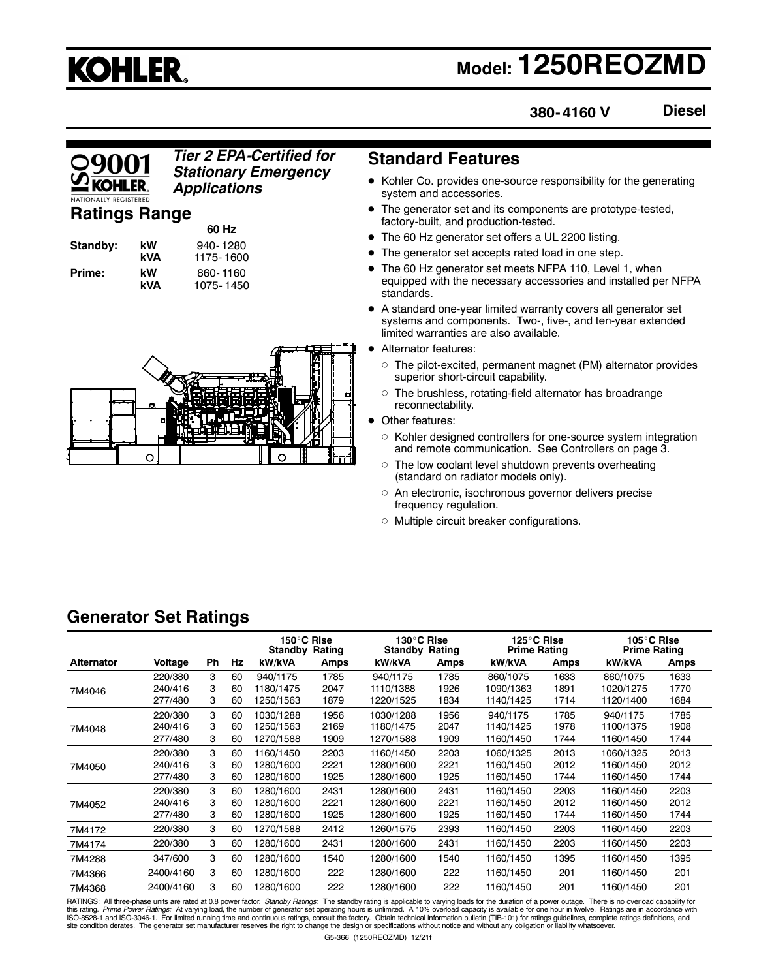## **KOHLER.**

## **Model: 1250REOZMD**

**Diesel 380- 4160 V**

#### *Tier 2 EPA-Certified for Stationary Emergency Applications*

#### **Ratings Range**

| Standby: |  |
|----------|--|
| Prime:   |  |

**60 Hz kW** 940-1280<br>**kVA** 1175-1600 **kVA** 1175- 1600 **Prime:** kW 860-1160<br>**kVA** 1075-1450 **kVA** 1075- 1450



#### **Standard Features**

- Kohler Co. provides one-source responsibility for the generating system and accessories.
- The generator set and its components are prototype-tested, factory-built, and production-tested.
- The 60 Hz generator set offers a UL 2200 listing.
- The generator set accepts rated load in one step.
- The 60 Hz generator set meets NFPA 110, Level 1, when equipped with the necessary accessories and installed per NFPA standards.
- A standard one-year limited warranty covers all generator set systems and components. Two-, five-, and ten-year extended limited warranties are also available.
- Alternator features:
	- $\circ~$  The pilot-excited, permanent magnet (PM) alternator provides superior short-circuit capability.
	- $\circ~$  The brushless, rotating-field alternator has broadrange reconnectability.
- Other features:
	- Kohler designed controllers for one-source system integration and remote communication. See Controllers on page 3.
	- $\circ~$  The low coolant level shutdown prevents overheating (standard on radiator models only).
	- $\circ$  An electronic, isochronous governor delivers precise frequency regulation.
	- Multiple circuit breaker configurations.

#### **Generator Set Ratings**

|                   |           |           |    | 150°C Rise<br><b>Standby Rating</b> |      | 130°C Rise<br><b>Standby Rating</b> |      | 125°C Rise<br><b>Prime Rating</b> |      | 105°C Rise<br><b>Prime Rating</b> |      |
|-------------------|-----------|-----------|----|-------------------------------------|------|-------------------------------------|------|-----------------------------------|------|-----------------------------------|------|
| <b>Alternator</b> | Voltage   | <b>Ph</b> | Hz | kW/kVA                              | Amps | kW/kVA                              | Amps | kW/kVA                            | Amps | kW/kVA                            | Amps |
|                   | 220/380   | 3         | 60 | 940/1175                            | 1785 | 940/1175                            | 1785 | 860/1075                          | 1633 | 860/1075                          | 1633 |
| 7M4046            | 240/416   | 3         | 60 | 1180/1475                           | 2047 | 1110/1388                           | 1926 | 1090/1363                         | 1891 | 1020/1275                         | 1770 |
|                   | 277/480   | 3         | 60 | 1250/1563                           | 1879 | 1220/1525                           | 1834 | 1140/1425                         | 1714 | 1120/1400                         | 1684 |
|                   | 220/380   | 3         | 60 | 1030/1288                           | 1956 | 1030/1288                           | 1956 | 940/1175                          | 1785 | 940/1175                          | 1785 |
| 7M4048            | 240/416   | 3         | 60 | 1250/1563                           | 2169 | 1180/1475                           | 2047 | 1140/1425                         | 1978 | 1100/1375                         | 1908 |
|                   | 277/480   | 3         | 60 | 1270/1588                           | 1909 | 1270/1588                           | 1909 | 1160/1450                         | 1744 | 1160/1450                         | 1744 |
|                   | 220/380   | 3         | 60 | 1160/1450                           | 2203 | 1160/1450                           | 2203 | 1060/1325                         | 2013 | 1060/1325                         | 2013 |
| 7M4050            | 240/416   | 3         | 60 | 1280/1600                           | 2221 | 1280/1600                           | 2221 | 1160/1450                         | 2012 | 1160/1450                         | 2012 |
|                   | 277/480   | 3         | 60 | 1280/1600                           | 1925 | 1280/1600                           | 1925 | 1160/1450                         | 1744 | 1160/1450                         | 1744 |
|                   | 220/380   | 3         | 60 | 1280/1600                           | 2431 | 1280/1600                           | 2431 | 1160/1450                         | 2203 | 1160/1450                         | 2203 |
| 7M4052            | 240/416   | 3         | 60 | 1280/1600                           | 2221 | 1280/1600                           | 2221 | 1160/1450                         | 2012 | 1160/1450                         | 2012 |
|                   | 277/480   | 3         | 60 | 1280/1600                           | 1925 | 1280/1600                           | 1925 | 1160/1450                         | 1744 | 1160/1450                         | 1744 |
| 7M4172            | 220/380   | 3         | 60 | 1270/1588                           | 2412 | 1260/1575                           | 2393 | 1160/1450                         | 2203 | 1160/1450                         | 2203 |
| 7M4174            | 220/380   | 3         | 60 | 1280/1600                           | 2431 | 1280/1600                           | 2431 | 1160/1450                         | 2203 | 1160/1450                         | 2203 |
| 7M4288            | 347/600   | 3         | 60 | 1280/1600                           | 1540 | 1280/1600                           | 1540 | 1160/1450                         | 1395 | 1160/1450                         | 1395 |
| 7M4366            | 2400/4160 | 3         | 60 | 1280/1600                           | 222  | 1280/1600                           | 222  | 1160/1450                         | 201  | 1160/1450                         | 201  |
| 7M4368            | 2400/4160 | 3         | 60 | 1280/1600                           | 222  | 1280/1600                           | 222  | 1160/1450                         | 201  | 1160/1450                         | 201  |

RATINGS: All three-phase units are rated at 0.8 power factor. Standby Ratings: The standby rating is applicable to varying loads for the duration of a power outage. There is no overload capability for this rating. *Prime Power Ratings*: At varying load, the number of generator set operating hours is unlimited. A 10% overload capacity is available for one hour in twelve. Ratings are in accordance with<br>ISO-8528-1 and ISO-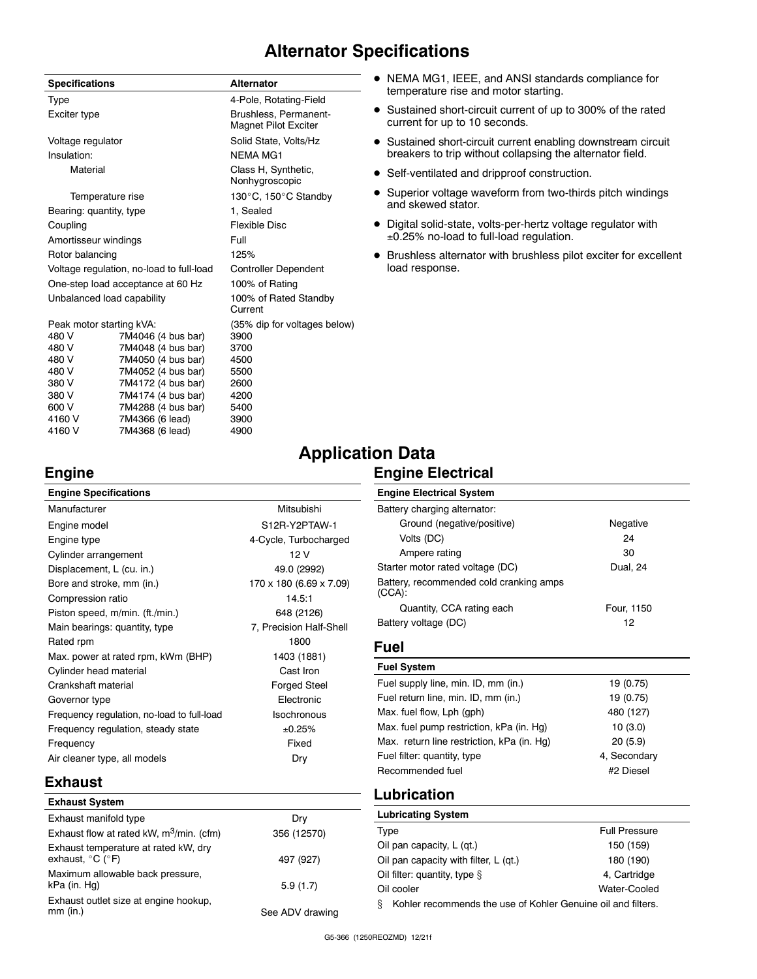#### **Alternator Specifications**

| <b>Specifications</b>      |                                          | Alternator                                    |  |  |
|----------------------------|------------------------------------------|-----------------------------------------------|--|--|
| Type                       |                                          | 4-Pole, Rotating-Field                        |  |  |
| Exciter type               |                                          | Brushless, Permanent-<br>Magnet Pilot Exciter |  |  |
| Voltage regulator          |                                          | Solid State, Volts/Hz                         |  |  |
| Insulation:                |                                          | <b>NEMA MG1</b>                               |  |  |
| Material                   |                                          | Class H, Synthetic,<br>Nonhygroscopic         |  |  |
| Temperature rise           |                                          | 130°C, 150°C Standby                          |  |  |
| Bearing: quantity, type    |                                          | 1, Sealed                                     |  |  |
| Coupling                   |                                          | Flexible Disc                                 |  |  |
| Amortisseur windings       |                                          | Full                                          |  |  |
| Rotor balancing            |                                          | 125%                                          |  |  |
|                            | Voltage regulation, no-load to full-load | <b>Controller Dependent</b>                   |  |  |
|                            | One-step load acceptance at 60 Hz        | 100% of Rating                                |  |  |
| Unbalanced load capability |                                          | 100% of Rated Standby<br>Current              |  |  |
| Peak motor starting kVA:   |                                          | (35% dip for voltages below)                  |  |  |
| 480 V                      | 7M4046 (4 bus bar)                       | 3900                                          |  |  |
| 480 V                      | 7M4048 (4 bus bar)                       | 3700                                          |  |  |
| 480 V                      | 7M4050 (4 bus bar)                       | 4500                                          |  |  |

480 V 7M4052 (4 bus bar) 5500 380 V 7M4172 (4 bus bar) 2600  $7M4174$   $(4 \text{ bus bar})$ 600 V 7M4288 (4 bus bar) 5400 4160 V 7M4366 (6 lead) 3900 7M4368 (6 lead)

- NEMA MG1, IEEE, and ANSI standards compliance for temperature rise and motor starting.
- Sustained short-circuit current of up to 300% of the rated current for up to 10 seconds.
- Sustained short-circuit current enabling downstream circuit breakers to trip without collapsing the alternator field.
- Self-ventilated and dripproof construction.
- Superior voltage waveform from two-thirds pitch windings and skewed stator.
- Digital solid-state, volts-per-hertz voltage regulator with ±0.25% no-load to full-load regulation.
- Brushless alternator with brushless pilot exciter for excellent load response.

## **Application Data**

| Engine                                     |                         | <b>Engine Electrical</b>                   |              |  |  |
|--------------------------------------------|-------------------------|--------------------------------------------|--------------|--|--|
| <b>Engine Specifications</b>               |                         | <b>Engine Electrical System</b>            |              |  |  |
| Manufacturer                               | Mitsubishi              | Battery charging alternator:               |              |  |  |
| Engine model                               | S12R-Y2PTAW-1           | Ground (negative/positive)                 | Negative     |  |  |
| Engine type                                | 4-Cycle, Turbocharged   | Volts (DC)                                 | 24           |  |  |
| Cylinder arrangement                       | 12V                     | Ampere rating                              | 30           |  |  |
| Displacement, L (cu. in.)                  | 49.0 (2992)             | Starter motor rated voltage (DC)           | Dual, 24     |  |  |
| Bore and stroke, mm (in.)                  | 170 x 180 (6.69 x 7.09) | Battery, recommended cold cranking amps    |              |  |  |
| Compression ratio                          | 14.5:1                  | $(CCA)$ :                                  |              |  |  |
| Piston speed, m/min. (ft./min.)            | 648 (2126)              | Quantity, CCA rating each                  | Four, 1150   |  |  |
| Main bearings: quantity, type              | 7, Precision Half-Shell | Battery voltage (DC)                       | 12           |  |  |
| Rated rpm                                  | 1800                    | Fuel                                       |              |  |  |
| Max. power at rated rpm, kWm (BHP)         | 1403 (1881)             |                                            |              |  |  |
| Cylinder head material                     | Cast Iron               | <b>Fuel System</b>                         |              |  |  |
| Crankshaft material                        | <b>Forged Steel</b>     | Fuel supply line, min. ID, mm (in.)        | 19 (0.75)    |  |  |
| Governor type                              | Electronic              | Fuel return line, min. ID, mm (in.)        | 19 (0.75)    |  |  |
| Frequency regulation, no-load to full-load | <b>Isochronous</b>      | Max. fuel flow, Lph (gph)                  | 480 (127)    |  |  |
| Frequency regulation, steady state         | ±0.25%                  | Max. fuel pump restriction, kPa (in. Hg)   | 10(3.0)      |  |  |
| Frequency                                  | Fixed                   | Max. return line restriction, kPa (in. Hg) | 20(5.9)      |  |  |
| Air cleaner type, all models               | Dry                     | Fuel filter: quantity, type                | 4. Secondary |  |  |
|                                            |                         | Recommended fuel                           | #2 Diesel    |  |  |

#### **Exhaust**

| <b>Exhaust System</b>                                                         |                 |
|-------------------------------------------------------------------------------|-----------------|
| Exhaust manifold type                                                         | Dry             |
| Exhaust flow at rated kW, m <sup>3</sup> /min. (cfm)                          | 356 (12570)     |
| Exhaust temperature at rated kW, dry<br>exhaust, $^{\circ}$ C ( $^{\circ}$ F) | 497 (927)       |
| Maximum allowable back pressure,<br>kPa (in. Hg)                              | 5.9(1.7)        |
| Exhaust outlet size at engine hookup,<br>$mm$ (in.)                           | See ADV drawing |

#### G5-366 (1250REOZMD) 12/21f

**Lubrication Lubricating System**

Type **Full Pressure** Oil pan capacity, L (qt.) 150 (159) Oil pan capacity with filter, L (qt.) 180 (190) Oil filter: quantity, type  $\S$  4, Cartridge Oil cooler Water-Cooled § Kohler recommends the use of Kohler Genuine oil and filters.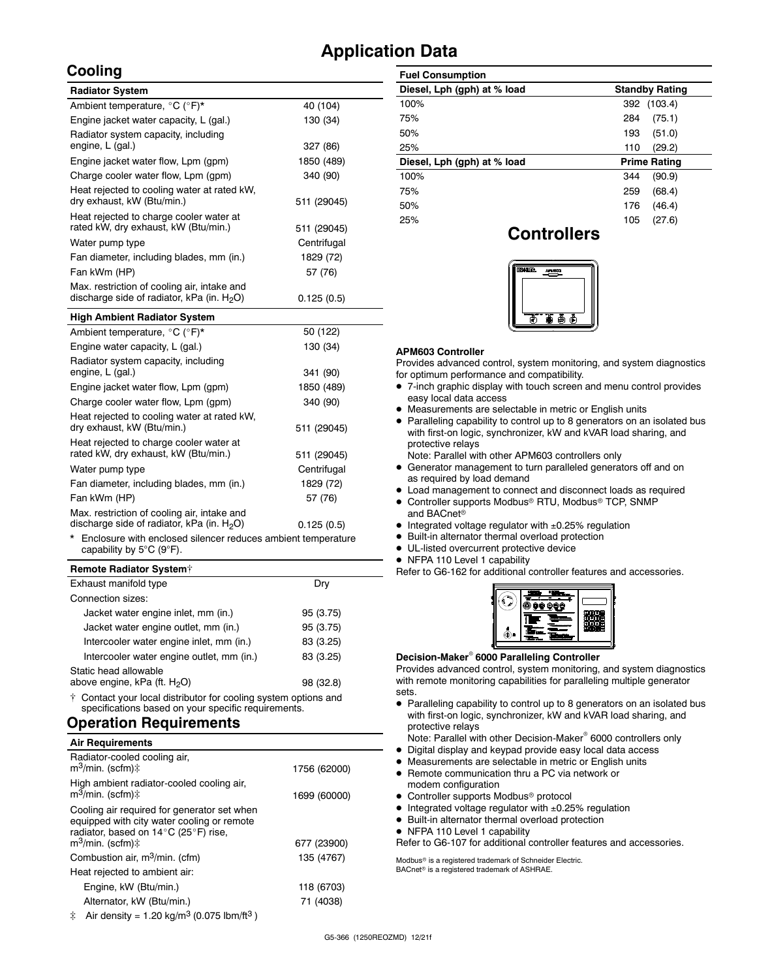### **Application Data**

#### **Cooling**

| <b>Radiator System</b>                                                                       |             |
|----------------------------------------------------------------------------------------------|-------------|
| Ambient temperature, °C (°F)*                                                                | 40 (104)    |
| Engine jacket water capacity, L (gal.)                                                       | 130 (34)    |
| Radiator system capacity, including<br>engine, L (gal.)                                      | 327 (86)    |
| Engine jacket water flow, Lpm (gpm)                                                          | 1850 (489)  |
| Charge cooler water flow, Lpm (gpm)                                                          | 340 (90)    |
| Heat rejected to cooling water at rated kW.<br>dry exhaust, kW (Btu/min.)                    | 511 (29045) |
| Heat rejected to charge cooler water at<br>rated kW, dry exhaust, kW (Btu/min.)              | 511 (29045) |
| Water pump type                                                                              | Centrifugal |
| Fan diameter, including blades, mm (in.)                                                     | 1829 (72)   |
| Fan kWm (HP)                                                                                 | 57 (76)     |
| Max. restriction of cooling air, intake and<br>discharge side of radiator, kPa (in. $H_2O$ ) | 0.125(0.5)  |
| <b>High Ambient Radiator System</b>                                                          |             |

| Ambient temperature, °C (°F)*                                                                | 50 (122)    |
|----------------------------------------------------------------------------------------------|-------------|
| Engine water capacity, L (gal.)                                                              | 130 (34)    |
| Radiator system capacity, including<br>engine, L (gal.)                                      | 341 (90)    |
| Engine jacket water flow, Lpm (gpm)                                                          | 1850 (489)  |
| Charge cooler water flow, Lpm (qpm)                                                          | 340 (90)    |
| Heat rejected to cooling water at rated kW.<br>dry exhaust, kW (Btu/min.)                    | 511 (29045) |
| Heat rejected to charge cooler water at<br>rated kW, dry exhaust, kW (Btu/min.)              | 511 (29045) |
| Water pump type                                                                              | Centrifugal |
| Fan diameter, including blades, mm (in.)                                                     | 1829 (72)   |
| Fan kWm (HP)                                                                                 | 57 (76)     |
| Max. restriction of cooling air, intake and<br>discharge side of radiator, kPa (in. $H_2O$ ) | 0.125(0.5)  |
|                                                                                              |             |

Enclosure with enclosed silencer reduces ambient temperature capability by 5°C (9°F).

#### **Remote Radiator System**

| Exhaust manifold type                     | Dry       |
|-------------------------------------------|-----------|
| Connection sizes:                         |           |
| Jacket water engine inlet, mm (in.)       | 95 (3.75) |
| Jacket water engine outlet, mm (in.)      | 95 (3.75) |
| Intercooler water engine inlet, mm (in.)  | 83 (3.25) |
| Intercooler water engine outlet, mm (in.) | 83 (3.25) |
| Static head allowable                     |           |
| above engine, kPa (ft. H <sub>2</sub> O)  | 98 (32.8) |
|                                           |           |

 Contact your local distributor for cooling system options and specifications based on your specific requirements.

#### **Operation Requirements**

| <b>Air Requirements</b>                                                                                                                                            |              |
|--------------------------------------------------------------------------------------------------------------------------------------------------------------------|--------------|
| Radiator-cooled cooling air,<br>m <sup>3</sup> /min. (scfm)‡                                                                                                       | 1756 (62000) |
| High ambient radiator-cooled cooling air,<br>$m^3$ /min. (scfm) $\ddagger$                                                                                         | 1699 (60000) |
| Cooling air required for generator set when<br>equipped with city water cooling or remote<br>radiator, based on 14°C (25°F) rise,<br>$m^3$ /min. (scfm) $\ddagger$ | 677 (23900)  |
| Combustion air, m <sup>3</sup> /min. (cfm)                                                                                                                         | 135 (4767)   |
| Heat rejected to ambient air:                                                                                                                                      |              |
| Engine, kW (Btu/min.)                                                                                                                                              | 118 (6703)   |
| Alternator, kW (Btu/min.)                                                                                                                                          | 71 (4038)    |
|                                                                                                                                                                    |              |

| <b>Fuel Consumption</b>     |                       |
|-----------------------------|-----------------------|
| Diesel, Lph (gph) at % load | <b>Standby Rating</b> |
| 100%                        | (103.4)<br>392        |
| 75%                         | (75.1)<br>284         |
| 50%                         | (51.0)<br>193         |
| 25%                         | (29.2)<br>110         |
| Diesel, Lph (gph) at % load | <b>Prime Rating</b>   |
| 100%                        | (90.9)<br>344         |
| 75%                         | (68.4)<br>259         |
| 50%                         | (46.4)<br>176         |
| 25%                         | (27.6)<br>105         |

#### **Controllers**



#### **APM603 Controller**

Provides advanced control, system monitoring, and system diagnostics for optimum performance and compatibility.

- 7-inch graphic display with touch screen and menu control provides easy local data access
- $\bullet$  Measurements are selectable in metric or English units
- Paralleling capability to control up to 8 generators on an isolated bus with first-on logic, synchronizer, kW and kVAR load sharing, and protective relays

Note: Parallel with other APM603 controllers only

- Generator management to turn paralleled generators off and on as required by load demand
- Load management to connect and disconnect loads as required
- Controller supports Modbus® RTU, Modbus® TCP, SNMP and BACnet<sup>®</sup>
- $\bullet$  Integrated voltage regulator with  $\pm 0.25\%$  regulation
- Built-in alternator thermal overload protection
- UL-listed overcurrent protective device
- NFPA 110 Level 1 capability

Refer to G6-162 for additional controller features and accessories.

| × |  |
|---|--|
|   |  |
|   |  |
|   |  |

#### **Decision-Maker 6000 Paralleling Controller**

Provides advanced control, system monitoring, and system diagnostics with remote monitoring capabilities for paralleling multiple generator sets.

- Paralleling capability to control up to 8 generators on an isolated bus with first-on logic, synchronizer, kW and kVAR load sharing, and protective relays
- Note: Parallel with other Decision-Maker<sup>®</sup> 6000 controllers only
- Digital display and keypad provide easy local data access
- Measurements are selectable in metric or English units
- Remote communication thru a PC via network or modem configuration
- Controller supports Modbus<sup>®</sup> protocol
- $\bullet$  Integrated voltage regulator with  $\pm 0.25\%$  regulation
- Built-in alternator thermal overload protection
- NFPA 110 Level 1 capability

Refer to G6-107 for additional controller features and accessories.

Modbus<sup>®</sup> is a registered trademark of Schneider Electric.  $BAC$ net® is a registered trademark of ASHRAE.

 $\ddagger$  Air density = 1.20 kg/m<sup>3</sup> (0.075 lbm/ft<sup>3</sup>)